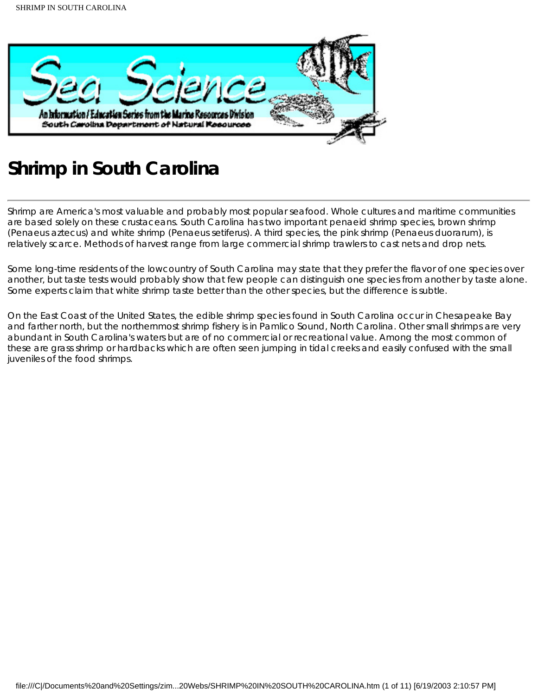

# **Shrimp in South Carolina**

Shrimp are America's most valuable and probably most popular seafood. Whole cultures and maritime communities are based solely on these crustaceans. South Carolina has two important penaeid shrimp species, brown shrimp (Penaeus aztecus) and white shrimp (Penaeus setiferus). A third species, the pink shrimp (Penaeus duorarum), is relatively scarce. Methods of harvest range from large commercial shrimp trawlers to cast nets and drop nets.

Some long-time residents of the lowcountry of South Carolina may state that they prefer the flavor of one species over another, but taste tests would probably show that few people can distinguish one species from another by taste alone. Some experts claim that white shrimp taste better than the other species, but the difference is subtle.

On the East Coast of the United States, the edible shrimp species found in South Carolina occur in Chesapeake Bay and farther north, but the northernmost shrimp fishery is in Pamlico Sound, North Carolina. Other small shrimps are very abundant in South Carolina's waters but are of no commercial or recreational value. Among the most common of these are grass shrimp or hardbacks which are often seen jumping in tidal creeks and easily confused with the small juveniles of the food shrimps.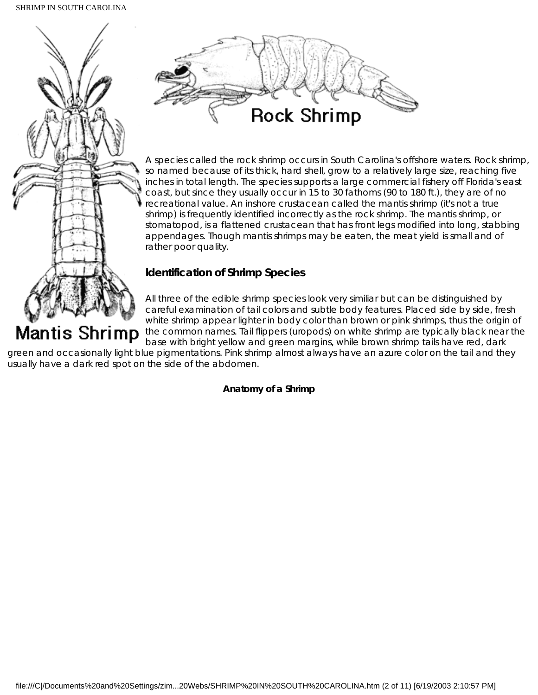

# **Mantis Shrimp**

careful examination of tail colors and subtle body features. Placed side by side, fresh white shrimp appear lighter in body color than brown or pink shrimps, thus the origin of the common names. Tail flippers (uropods) on white shrimp are typically black near the base with bright yellow and green margins, while brown shrimp tails have red, dark

green and occasionally light blue pigmentations. Pink shrimp almost always have an azure color on the tail and they usually have a dark red spot on the side of the abdomen.

## **Anatomy of a Shrimp**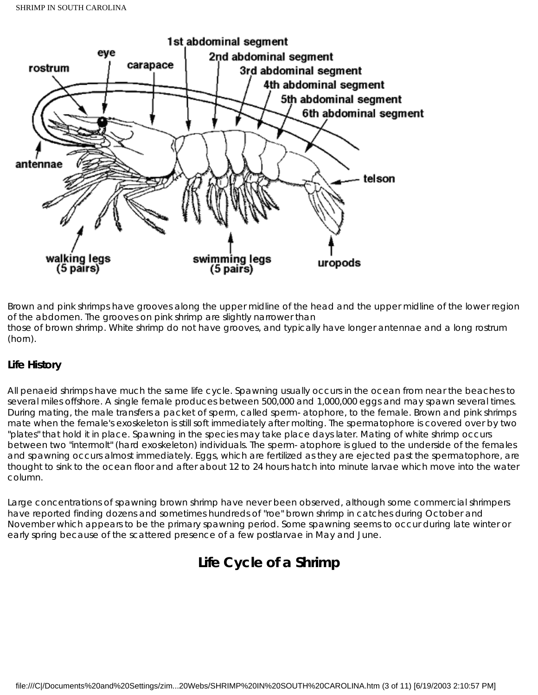

Brown and pink shrimps have grooves along the upper midline of the head and the upper midline of the lower region of the abdomen. The grooves on pink shrimp are slightly narrower than those of brown shrimp. White shrimp do not have grooves, and typically have longer antennae and a long rostrum (horn).

## **Life History**

All penaeid shrimps have much the same life cycle. Spawning usually occurs in the ocean from near the beaches to several miles offshore. A single female produces between 500,000 and 1,000,000 eggs and may spawn several times. During mating, the male transfers a packet of sperm, called sperm- atophore, to the female. Brown and pink shrimps mate when the female's exoskeleton is still soft immediately after molting. The spermatophore is covered over by two "plates" that hold it in place. Spawning in the species may take place days later. Mating of white shrimp occurs between two "intermolt" (hard exoskeleton) individuals. The sperm- atophore is glued to the underside of the females and spawning occurs almost immediately. Eggs, which are fertilized as they are ejected past the spermatophore, are thought to sink to the ocean floor and after about 12 to 24 hours hatch into minute larvae which move into the water column.

Large concentrations of spawning brown shrimp have never been observed, although some commercial shrimpers have reported finding dozens and sometimes hundreds of "roe" brown shrimp in catches during October and November which appears to be the primary spawning period. Some spawning seems to occur during late winter or early spring because of the scattered presence of a few postlarvae in May and June.

## **Life Cycle of a Shrimp**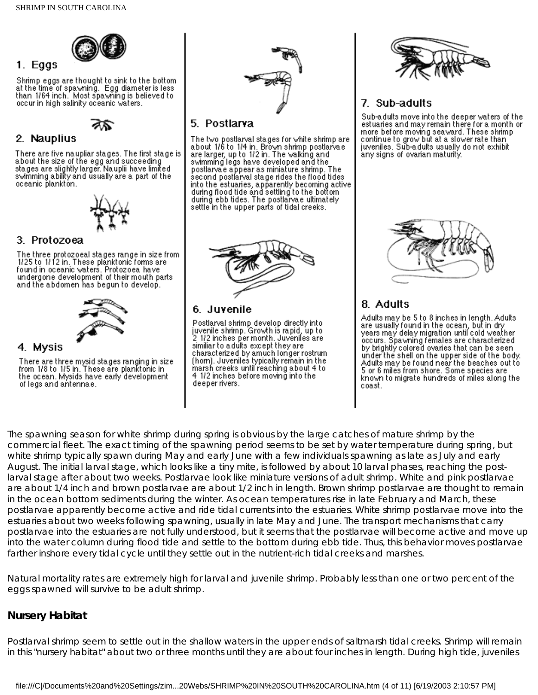

## 1. Eggs

Shrimp eggs are thought to sink to the bottom. at the time of spawning. Egg diameter is less<br>than 1/64 inch. Most spawning is believed to occur in high salinity oceanic waters.



## 2. Nauplius

There are five naupliar stages. The first stage is<br>about the size of the egg and succeeding stages are slightly larger. Nauplii have limited<br>swimming a bility and usually are a part of the oceanic plankton.



## 3. Protozoea

The three protozoeal stages range in size from 1/25 to 1/12 in. These planktonic forms are found in oceanic waters. Protozoea have undergone development of their mouth parts. and the abdomen has begun to develop.



## 4. Mysis

There are three mysid stages ranging in size<br>from  $1/8$  to  $1/5$  in. These are planktonic in<br>the stage of the stage of the state of the ocean. Mysids have early development of legs and antennae.



## 5. Postlarva

The two postlarval stages for white shrimp are<br>about 1/6 to 1/4 in, Brown shrimp postlarvae are larger, up to 1/2 in. The walking and swimming legs have developed and the postlarya e appear as miniature shrimp. The<br>second postlaryal stage rides the flood tides into the estuaries, apparently becoming active during flood tide and settling to the bottom. during ebb tides. The postlaryale ultimately<br>settle in the upper parts of tidal creeks.



## 6. Juvenile

Postlarval shrimp develop directly into juvenile shrimp. Growth is rapid, up to: 2 1/2 inches per month. Juveniles are<br>similiar to adults except they are characterized by amuch longer rostrum (hom). Juveniles typically remain in the marsh creeks until reaching about 4 to 4.1/2 inches before moving into the deeper rivers.



## 7. Sub-adults

Sub-adults move into the deeper waters of the estuaries and may remain there for a month or more before moving seaward. These shrimpcontinue to grow but at a slower rate than juveniles. Sub-adults usually do not exhibit any signs of ovarian maturity.

## 8. Adults

Adults may be 5 to 8 inches in length. Adults<br>are usually found in the ocean, but in dry<br>years may delay migration until cold weather occurs. Spawning females are characterized by brightly colored ovaries that can be seen under the shell on the upper side of the body. Adults may be found near the beaches out to 5 or 6 miles from shore. Some species are known to migrate hundreds of miles along the coast.

The spawning season for white shrimp during spring is obvious by the large catches of mature shrimp by the commercial fleet. The exact timing of the spawning period seems to be set by water temperature during spring, but white shrimp typically spawn during May and early June with a few individuals spawning as late as July and early August. The initial larval stage, which looks like a tiny mite, is followed by about 10 larval phases, reaching the postlarval stage after about two weeks. Postlarvae look like miniature versions of adult shrimp. White and pink postlarvae are about 1/4 inch and brown postlarvae are about 1/2 inch in length. Brown shrimp postlarvae are thought to remain in the ocean bottom sediments during the winter. As ocean temperatures rise in late February and March, these postlarvae apparently become active and ride tidal currents into the estuaries. White shrimp postlarvae move into the estuaries about two weeks following spawning, usually in late May and June. The transport mechanisms that carry postlarvae into the estuaries are not fully understood, but it seems that the postlarvae will become active and move up into the water column during flood tide and settle to the bottom during ebb tide. Thus, this behavior moves postlarvae farther inshore every tidal cycle until they settle out in the nutrient-rich tidal creeks and marshes.

Natural mortality rates are extremely high for larval and juvenile shrimp. Probably less than one or two percent of the eggs spawned will survive to be adult shrimp.

## **Nursery Habitat**

Postlarval shrimp seem to settle out in the shallow waters in the upper ends of saltmarsh tidal creeks. Shrimp will remain in this "nursery habitat" about two or three months until they are about four inches in length. During high tide, juveniles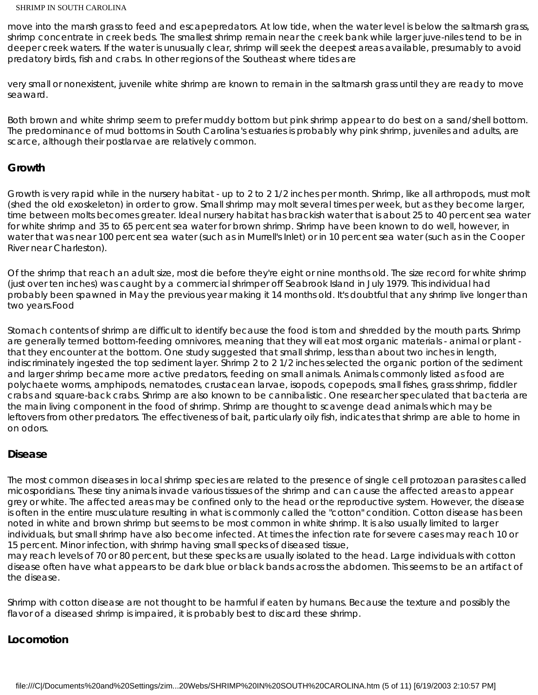move into the marsh grass to feed and escapepredators. At low tide, when the water level is below the saltmarsh grass, shrimp concentrate in creek beds. The smallest shrimp remain near the creek bank while larger juve-niles tend to be in deeper creek waters. If the water is unusually clear, shrimp will seek the deepest areas available, presumably to avoid predatory birds, fish and crabs. In other regions of the Southeast where tides are

very small or nonexistent, juvenile white shrimp are known to remain in the saltmarsh grass until they are ready to move seaward.

Both brown and white shrimp seem to prefer muddy bottom but pink shrimp appear to do best on a sand/shell bottom. The predominance of mud bottoms in South Carolina's estuaries is probably why pink shrimp, juveniles and adults, are scarce, although their postlarvae are relatively common.

## **Growth**

Growth is very rapid while in the nursery habitat - up to 2 to 2 1/2 inches per month. Shrimp, like all arthropods, must molt (shed the old exoskeleton) in order to grow. Small shrimp may molt several times per week, but as they become larger, time between molts becomes greater. Ideal nursery habitat has brackish water that is about 25 to 40 percent sea water for white shrimp and 35 to 65 percent sea water for brown shrimp. Shrimp have been known to do well, however, in water that was near 100 percent sea water (such as in Murrell's Inlet) or in 10 percent sea water (such as in the Cooper River near Charleston).

Of the shrimp that reach an adult size, most die before they're eight or nine months old. The size record for white shrimp (just over ten inches) was caught by a commercial shrimper off Seabrook Island in July 1979. This individual had probably been spawned in May the previous year making it 14 months old. It's doubtful that any shrimp live longer than two years.Food

Stomach contents of shrimp are difficult to identify because the food is torn and shredded by the mouth parts. Shrimp are generally termed bottom-feeding omnivores, meaning that they will eat most organic materials - animal or plant that they encounter at the bottom. One study suggested that small shrimp, less than about two inches in length, indiscriminately ingested the top sediment layer. Shrimp 2 to 2 1/2 inches selected the organic portion of the sediment and larger shrimp became more active predators, feeding on small animals. Animals commonly listed as food are polychaete worms, amphipods, nematodes, crustacean larvae, isopods, copepods, small fishes, grass shrimp, fiddler crabs and square-back crabs. Shrimp are also known to be cannibalistic. One researcher speculated that bacteria are the main living component in the food of shrimp. Shrimp are thought to scavenge dead animals which may be leftovers from other predators. The effectiveness of bait, particularly oily fish, indicates that shrimp are able to home in on odors.

## **Disease**

The most common diseases in local shrimp species are related to the presence of single cell protozoan parasites called micosporidians. These tiny animals invade various tissues of the shrimp and can cause the affected areas to appear grey or white. The affected areas may be confined only to the head or the reproductive system. However, the disease is often in the entire musculature resulting in what is commonly called the "cotton" condition. Cotton disease has been noted in white and brown shrimp but seems to be most common in white shrimp. It is also usually limited to larger individuals, but small shrimp have also become infected. At times the infection rate for severe cases may reach 10 or 15 percent. Minor infection, with shrimp having small specks of diseased tissue,

may reach levels of 70 or 80 percent, but these specks are usually isolated to the head. Large individuals with cotton disease often have what appears to be dark blue or black bands across the abdomen. This seems to be an artifact of the disease.

Shrimp with cotton disease are not thought to be harmful if eaten by humans. Because the texture and possibly the flavor of a diseased shrimp is impaired, it is probably best to discard these shrimp.

## **Locomotion**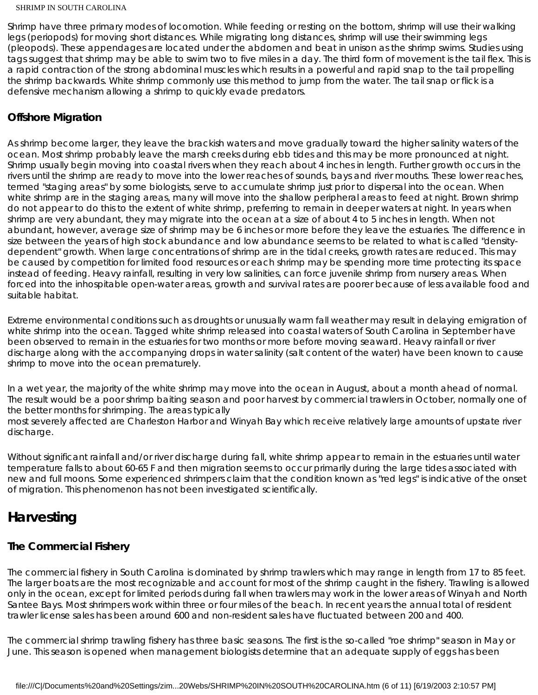Shrimp have three primary modes of locomotion. While feeding or resting on the bottom, shrimp will use their walking legs (periopods) for moving short distances. While migrating long distances, shrimp will use their swimming legs (pleopods). These appendages are located under the abdomen and beat in unison as the shrimp swims. Studies using tags suggest that shrimp may be able to swim two to five miles in a day. The third form of movement is the tail flex. This is a rapid contraction of the strong abdominal muscles which results in a powerful and rapid snap to the tail propelling the shrimp backwards. White shrimp commonly use this method to jump from the water. The tail snap or flick is a defensive mechanism allowing a shrimp to quickly evade predators.

## **Offshore Migration**

As shrimp become larger, they leave the brackish waters and move gradually toward the higher salinity waters of the ocean. Most shrimp probably leave the marsh creeks during ebb tides and this may be more pronounced at night. Shrimp usually begin moving into coastal rivers when they reach about 4 inches in length. Further growth occurs in the rivers until the shrimp are ready to move into the lower reaches of sounds, bays and river mouths. These lower reaches, termed "staging areas" by some biologists, serve to accumulate shrimp just prior to dispersal into the ocean. When white shrimp are in the staging areas, many will move into the shallow peripheral areas to feed at night. Brown shrimp do not appear to do this to the extent of white shrimp, preferring to remain in deeper waters at night. In years when shrimp are very abundant, they may migrate into the ocean at a size of about 4 to 5 inches in length. When not abundant, however, average size of shrimp may be 6 inches or more before they leave the estuaries. The difference in size between the years of high stock abundance and low abundance seems to be related to what is called "densitydependent" growth. When large concentrations of shrimp are in the tidal creeks, growth rates are reduced. This may be caused by competition for limited food resources or each shrimp may be spending more time protecting its space instead of feeding. Heavy rainfall, resulting in very low salinities, can force juvenile shrimp from nursery areas. When forced into the inhospitable open-water areas, growth and survival rates are poorer because of less available food and suitable habitat.

Extreme environmental conditions such as droughts or unusually warm fall weather may result in delaying emigration of white shrimp into the ocean. Tagged white shrimp released into coastal waters of South Carolina in September have been observed to remain in the estuaries for two months or more before moving seaward. Heavy rainfall or river discharge along with the accompanying drops in water salinity (salt content of the water) have been known to cause shrimp to move into the ocean prematurely.

In a wet year, the majority of the white shrimp may move into the ocean in August, about a month ahead of normal. The result would be a poor shrimp baiting season and poor harvest by commercial trawlers in October, normally one of the better months for shrimping. The areas typically

most severely affected are Charleston Harbor and Winyah Bay which receive relatively large amounts of upstate river discharge.

Without significant rainfall and/or river discharge during fall, white shrimp appear to remain in the estuaries until water temperature falls to about 60-65 F and then migration seems to occur primarily during the large tides associated with new and full moons. Some experienced shrimpers claim that the condition known as "red legs" is indicative of the onset of migration. This phenomenon has not been investigated scientifically.

## **Harvesting**

## **The Commercial Fishery**

The commercial fishery in South Carolina is dominated by shrimp trawlers which may range in length from 17 to 85 feet. The larger boats are the most recognizable and account for most of the shrimp caught in the fishery. Trawling is allowed only in the ocean, except for limited periods during fall when trawlers may work in the lower areas of Winyah and North Santee Bays. Most shrimpers work within three or four miles of the beach. In recent years the annual total of resident trawler license sales has been around 600 and non-resident sales have fluctuated between 200 and 400.

The commercial shrimp trawling fishery has three basic seasons. The first is the so-called "roe shrimp" season in May or June. This season is opened when management biologists determine that an adequate supply of eggs has been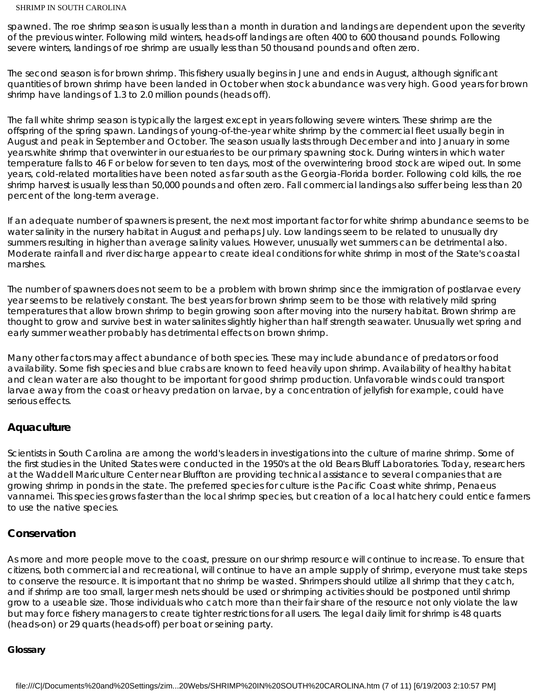spawned. The roe shrimp season is usually less than a month in duration and landings are dependent upon the severity of the previous winter. Following mild winters, heads-off landings are often 400 to 600 thousand pounds. Following severe winters, landings of roe shrimp are usually less than 50 thousand pounds and often zero.

The second season is for brown shrimp. This fishery usually begins in June and ends in August, although significant quantities of brown shrimp have been landed in October when stock abundance was very high. Good years for brown shrimp have landings of 1.3 to 2.0 million pounds (heads off).

The fall white shrimp season is typically the largest except in years following severe winters. These shrimp are the offspring of the spring spawn. Landings of young-of-the-year white shrimp by the commercial fleet usually begin in August and peak in September and October. The season usually lasts through December and into January in some years.white shrimp that overwinter in our estuaries to be our primary spawning stock. During winters in which water temperature falls to 46 F or below for seven to ten days, most of the overwintering brood stock are wiped out. In some years, cold-related mortalities have been noted as far south as the Georgia-Florida border. Following cold kills, the roe shrimp harvest is usually less than 50,000 pounds and often zero. Fall commercial landings also suffer being less than 20 percent of the long-term average.

If an adequate number of spawners is present, the next most important factor for white shrimp abundance seems to be water salinity in the nursery habitat in August and perhaps July. Low landings seem to be related to unusually dry summers resulting in higher than average salinity values. However, unusually wet summers can be detrimental also. Moderate rainfall and river discharge appear to create ideal conditions for white shrimp in most of the State's coastal marshes.

The number of spawners does not seem to be a problem with brown shrimp since the immigration of postlarvae every year seems to be relatively constant. The best years for brown shrimp seem to be those with relatively mild spring temperatures that allow brown shrimp to begin growing soon after moving into the nursery habitat. Brown shrimp are thought to grow and survive best in water salinites slightly higher than half strength seawater. Unusually wet spring and early summer weather probably has detrimental effects on brown shrimp.

Many other factors may affect abundance of both species. These may include abundance of predators or food availability. Some fish species and blue crabs are known to feed heavily upon shrimp. Availability of healthy habitat and clean water are also thought to be important for good shrimp production. Unfavorable winds could transport larvae away from the coast or heavy predation on larvae, by a concentration of jellyfish for example, could have serious effects.

## **Aquaculture**

Scientists in South Carolina are among the world's leaders in investigations into the culture of marine shrimp. Some of the first studies in the United States were conducted in the 1950's at the old Bears Bluff Laboratories. Today, researchers at the Waddell Mariculture Center near Bluffton are providing technical assistance to several companies that are growing shrimp in ponds in the state. The preferred species for culture is the Pacific Coast white shrimp, Penaeus vannamei. This species grows faster than the local shrimp species, but creation of a local hatchery could entice farmers to use the native species.

## **Conservation**

As more and more people move to the coast, pressure on our shrimp resource will continue to increase. To ensure that citizens, both commercial and recreational, will continue to have an ample supply of shrimp, everyone must take steps to conserve the resource. It is important that no shrimp be wasted. Shrimpers should utilize all shrimp that they catch, and if shrimp are too small, larger mesh nets should be used or shrimping activities should be postponed until shrimp grow to a useable size. Those individuals who catch more than their fair share of the resource not only violate the law but may force fishery managers to create tighter restrictions for all users. The legal daily limit for shrimp is 48 quarts (heads-on) or 29 quarts (heads-off) per boat or seining party.

#### **Glossary**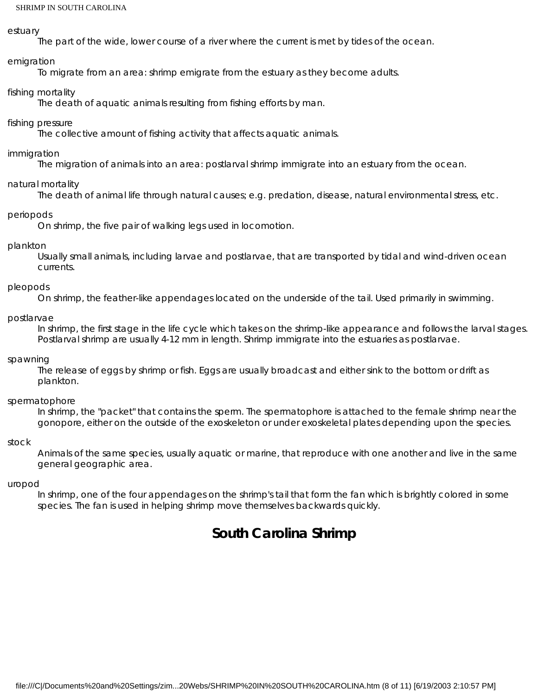#### *estuary*

The part of the wide, lower course of a river where the current is met by tides of the ocean.

#### *emigration*

To migrate from an area: shrimp emigrate from the estuary as they become adults.

#### *fishing mortality*

The death of aquatic animals resulting from fishing efforts by man.

#### *fishing pressure*

The collective amount of fishing activity that affects aquatic animals.

#### *immigration*

The migration of animals into an area: postlarval shrimp immigrate into an estuary from the ocean.

#### *natural mortality*

The death of animal life through natural causes; e.g. predation, disease, natural environmental stress, etc.

#### *periopods*

On shrimp, the five pair of walking legs used in locomotion.

#### *plankton*

Usually small animals, including larvae and postlarvae, that are transported by tidal and wind-driven ocean currents.

#### *pleopods*

On shrimp, the feather-like appendages located on the underside of the tail. Used primarily in swimming.

#### *postlarvae*

In shrimp, the first stage in the life cycle which takes on the shrimp-like appearance and follows the larval stages. Postlarval shrimp are usually 4-12 mm in length. Shrimp immigrate into the estuaries as postlarvae.

#### *spawning*

The release of eggs by shrimp or fish. Eggs are usually broadcast and either sink to the bottom or drift as plankton.

#### *spermatophore*

In shrimp, the "packet" that contains the sperm. The spermatophore is attached to the female shrimp near the gonopore, either on the outside of the exoskeleton or under exoskeletal plates depending upon the species.

#### *stock*

Animals of the same species, usually aquatic or marine, that reproduce with one another and live in the same general geographic area.

#### *uropod*

In shrimp, one of the four appendages on the shrimp's tail that form the fan which is brightly colored in some species. The fan is used in helping shrimp move themselves backwards quickly.

## **South Carolina Shrimp**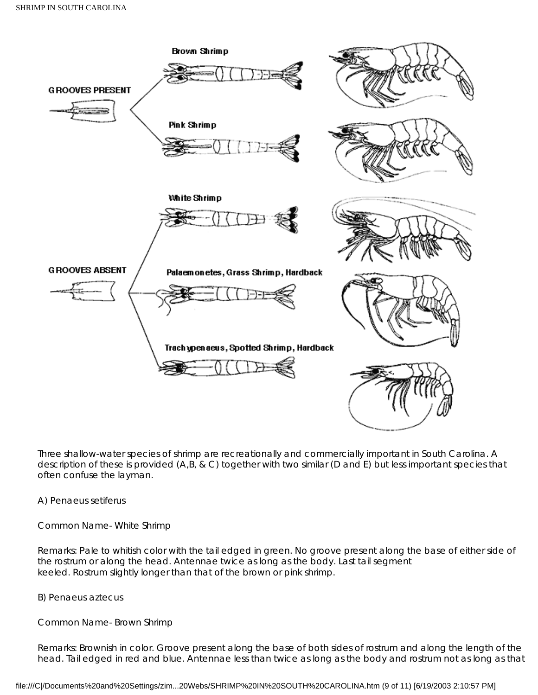

Three shallow-water species of shrimp are recreationally and commercially important in South Carolina. A description of these is provided (A,B, & C) together with two similar (D and E) but less important species that often confuse the layman.

#### A) *Penaeus setiferus*

Common Name- White Shrimp

Remarks: Pale to whitish color with the tail edged in green. No groove present along the base of either side of the rostrum or along the head. Antennae twice as long as the body. Last tail segment keeled. Rostrum slightly longer than that of the brown or pink shrimp.

B) *Penaeus aztecus*

Common Name- Brown Shrimp

Remarks: Brownish in color. Groove present along the base of both sides of rostrum and along the length of the head. Tail edged in red and blue. Antennae less than twice as long as the body and rostrum not as long as that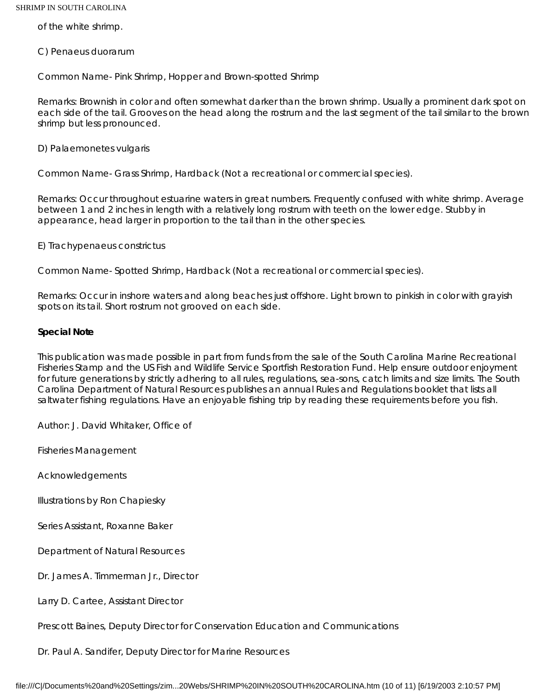of the white shrimp.

C) *Penaeus duorarum*

Common Name- Pink Shrimp, Hopper and Brown-spotted Shrimp

Remarks: Brownish in color and often somewhat darker than the brown shrimp. Usually a prominent dark spot on each side of the tail. Grooves on the head along the rostrum and the last segment of the tail similar to the brown shrimp but less pronounced.

D) *Palaemonetes vulgaris*

Common Name- Grass Shrimp, Hardback (Not a recreational or commercial species).

Remarks: Occur throughout estuarine waters in great numbers. Frequently confused with white shrimp. Average between 1 and 2 inches in length with a relatively long rostrum with teeth on the lower edge. Stubby in appearance, head larger in proportion to the tail than in the other species.

E) *Trachypenaeus constrictus*

Common Name- Spotted Shrimp, Hardback (Not a recreational or commercial species).

Remarks: Occur in inshore waters and along beaches just offshore. Light brown to pinkish in color with grayish spots on its tail. Short rostrum not grooved on each side.

#### **Special Note**

This publication was made possible in part from funds from the sale of the South Carolina Marine Recreational Fisheries Stamp and the US Fish and Wildlife Service Sportfish Restoration Fund. Help ensure outdoor enjoyment for future generations by strictly adhering to all rules, regulations, sea-sons, catch limits and size limits. The South Carolina Department of Natural Resources publishes an annual Rules and Regulations booklet that lists all saltwater fishing regulations. Have an enjoyable fishing trip by reading these requirements before you fish.

Author: J. David Whitaker, Office of

Fisheries Management

Acknowledgements

Illustrations by Ron Chapiesky

Series Assistant, Roxanne Baker

Department of Natural Resources

Dr. James A. Timmerman Jr., Director

Larry D. Cartee, Assistant Director

Prescott Baines, Deputy Director for Conservation Education and Communications

Dr. Paul A. Sandifer, Deputy Director for Marine Resources